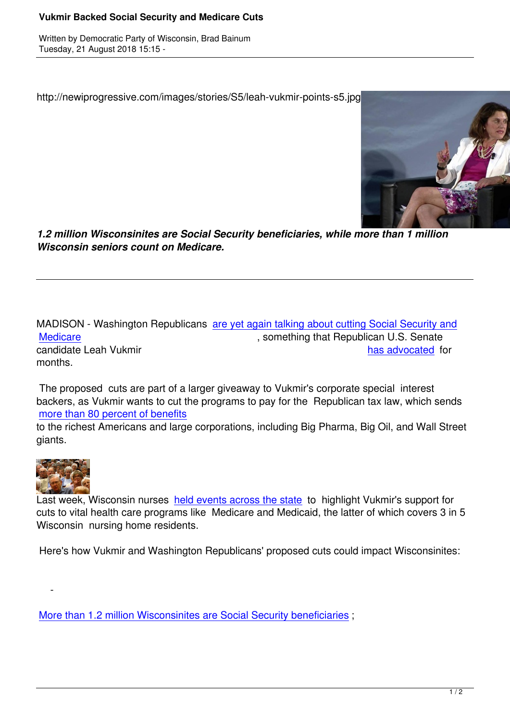http://newiprogressive.com/images/stories/S5/leah-vukmir-points-s5.jpg



*1.2 million Wisconsinites are Social Security beneficiaries, while more than 1 million Wisconsin seniors count on Medicare.*

MADISON - Washington Republicans are yet again talking about cutting Social Security and Medicare Medicare **Medicare** , something that Republican U.S. Senate candidate Leah Vukmir **and a controlled for the candidate Leah Vukmir has advocated for** months.

 [The propo](https://wisdems.us1.list-manage.com/track/click?u=5fdce0a26f89c28febc13998d&id=14dc886eb3&e=c8d9c6b5a0)sed cuts are part of a larger giveaway to Vukmir's corporate [special interest](https://wisdems.us1.list-manage.com/track/click?u=5fdce0a26f89c28febc13998d&id=8af3efca0d&e=c8d9c6b5a0) backers, as Vukmir wants to cut the programs to pay for the Republican tax law, which sends more than 80 percent of benefits

to the richest Americans and large corporations, including Big Pharma, Big Oil, and Wall Street giants.



 $\sim$   $-$ 

Last week, Wisconsin nurses held events across the state to highlight Vukmir's support for cuts to vital health care programs like Medicare and Medicaid, the latter of which covers 3 in 5 Wisconsin nursing home residents.

Here's how Vukmir and Was[hington Republicans' propose](https://wisdems.us1.list-manage.com/track/click?u=5fdce0a26f89c28febc13998d&id=21b796fda2&e=c8d9c6b5a0)d cuts could impact Wisconsinites:

More than 1.2 million Wisconsinites are Social Security beneficiaries ;